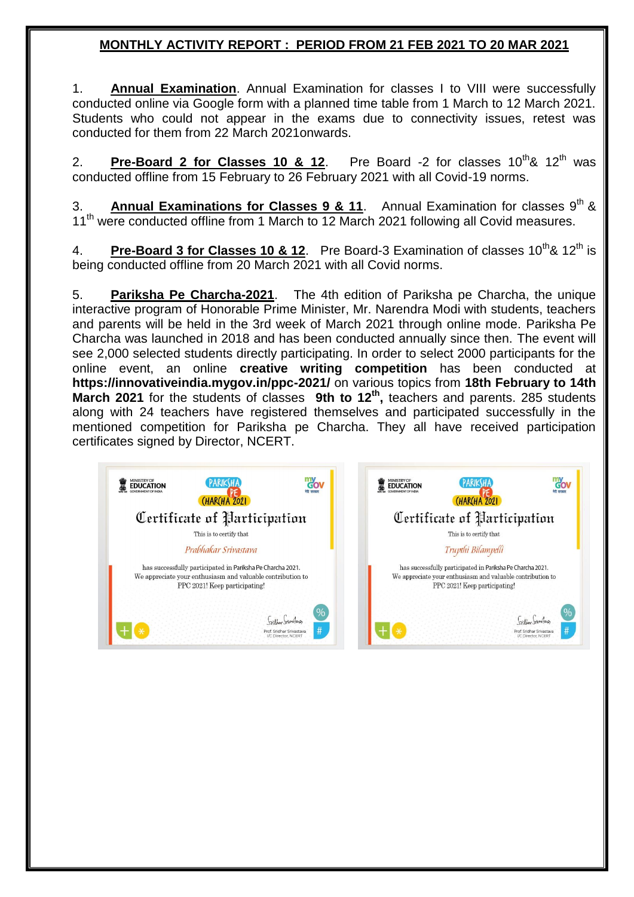## **MONTHLY ACTIVITY REPORT : PERIOD FROM 21 FEB 2021 TO 20 MAR 2021**

1. **Annual Examination**. Annual Examination for classes I to VIII were successfully conducted online via Google form with a planned time table from 1 March to 12 March 2021. Students who could not appear in the exams due to connectivity issues, retest was conducted for them from 22 March 2021onwards.

2. **Pre-Board 2 for Classes 10 & 12**. Pre Board -2 for classes 10<sup>th</sup>& 12<sup>th</sup> was conducted offline from 15 February to 26 February 2021 with all Covid-19 norms.

3. **Annual Examinations for Classes 9 & 11**. Annual Examination for classes 9<sup>th</sup> & 11<sup>th</sup> were conducted offline from 1 March to 12 March 2021 following all Covid measures.

4. **Pre-Board 3 for Classes 10 & 12**. Pre Board-3 Examination of classes 10<sup>th</sup> & 12<sup>th</sup> is being conducted offline from 20 March 2021 with all Covid norms.

5. **Pariksha Pe Charcha-2021**. The 4th edition of Pariksha pe Charcha, the unique interactive program of Honorable Prime Minister, Mr. Narendra Modi with students, teachers and parents will be held in the 3rd week of March 2021 through online mode. Pariksha Pe Charcha was launched in 2018 and has been conducted annually since then. The event will see 2,000 selected students directly participating. In order to select 2000 participants for the online event, an online **creative writing competition** has been conducted at **https://innovativeindia.mygov.in/ppc-2021/** on various topics from **18th February to 14th**  March 2021 for the students of classes 9th to 12<sup>th</sup>, teachers and parents. 285 students along with 24 teachers have registered themselves and participated successfully in the mentioned competition for Pariksha pe Charcha. They all have received participation certificates signed by Director, NCERT.

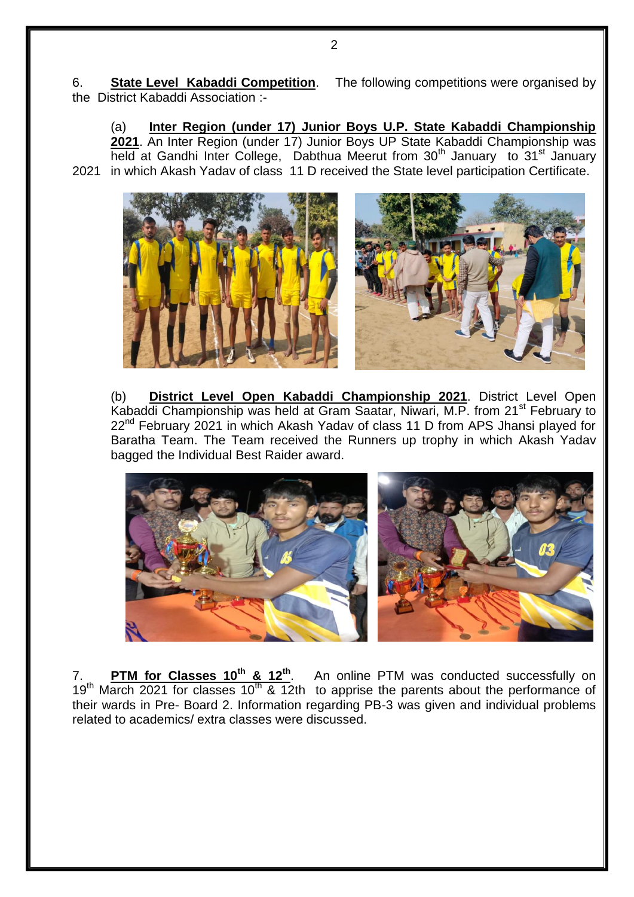6. **State Level Kabaddi Competition**. The following competitions were organised by the District Kabaddi Association :-

(a) **Inter Region (under 17) Junior Boys U.P. State Kabaddi Championship 2021**. An Inter Region (under 17) Junior Boys UP State Kabaddi Championship was held at Gandhi Inter College, Dabthua Meerut from 30<sup>th</sup> January to 31<sup>st</sup> January 2021 in which Akash Yadav of class 11 D received the State level participation Certificate.



(b) **District Level Open Kabaddi Championship 2021**. District Level Open Kabaddi Championship was held at Gram Saatar, Niwari, M.P. from 21<sup>st</sup> February to 22<sup>nd</sup> February 2021 in which Akash Yadav of class 11 D from APS Jhansi played for Baratha Team. The Team received the Runners up trophy in which Akash Yadav bagged the Individual Best Raider award.



7. **PTM for Classes 10th & 12th** . An online PTM was conducted successfully on 19<sup>th</sup> March 2021 for classes 10<sup>th</sup> & 12th to apprise the parents about the performance of their wards in Pre- Board 2. Information regarding PB-3 was given and individual problems related to academics/ extra classes were discussed.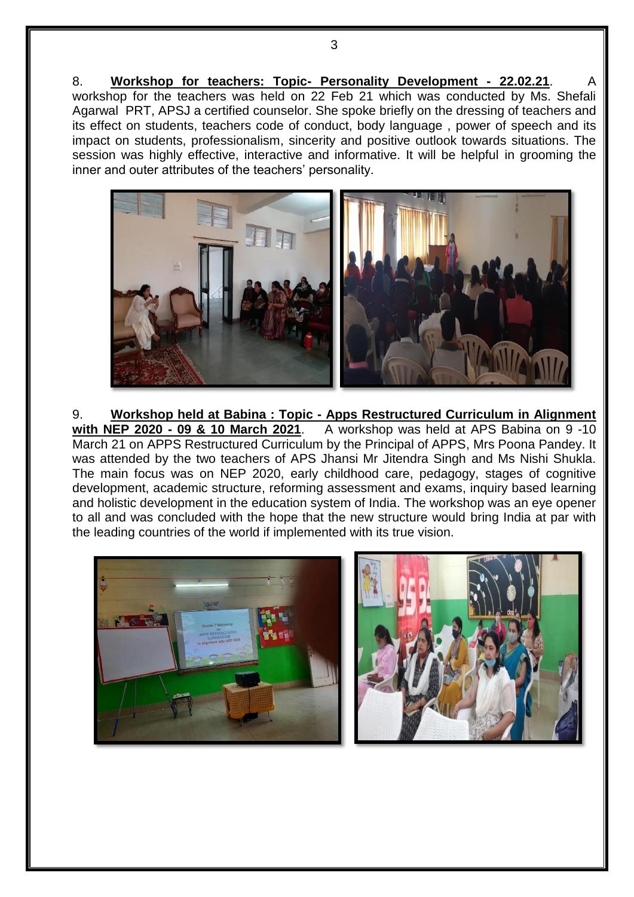8. **Workshop for teachers: Topic- Personality Development - 22.02.21**. A workshop for the teachers was held on 22 Feb 21 which was conducted by Ms. Shefali Agarwal PRT, APSJ a certified counselor. She spoke briefly on the dressing of teachers and its effect on students, teachers code of conduct, body language , power of speech and its impact on students, professionalism, sincerity and positive outlook towards situations. The session was highly effective, interactive and informative. It will be helpful in grooming the inner and outer attributes of the teachers' personality.



9. **Workshop held at Babina : Topic - Apps Restructured Curriculum in Alignment with NEP 2020 - 09 & 10 March 2021**. A workshop was held at APS Babina on 9 -10 March 21 on APPS Restructured Curriculum by the Principal of APPS, Mrs Poona Pandey. It was attended by the two teachers of APS Jhansi Mr Jitendra Singh and Ms Nishi Shukla. The main focus was on NEP 2020, early childhood care, pedagogy, stages of cognitive development, academic structure, reforming assessment and exams, inquiry based learning and holistic development in the education system of India. The workshop was an eye opener to all and was concluded with the hope that the new structure would bring India at par with the leading countries of the world if implemented with its true vision.